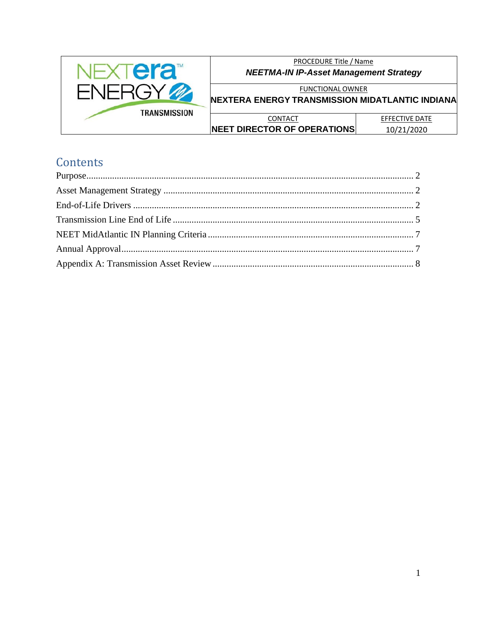

PROCEDURE Title / Name **NEETMA-IN IP-Asset Management Strategy** 

**FUNCTIONAL OWNER** 

NEXTERA ENERGY TRANSMISSION MIDATLANTIC INDIANA

| CONTACT                             | EFFECTIVE DATE |
|-------------------------------------|----------------|
| <b>INEET DIRECTOR OF OPERATIONS</b> | 10/21/2020     |

# Contents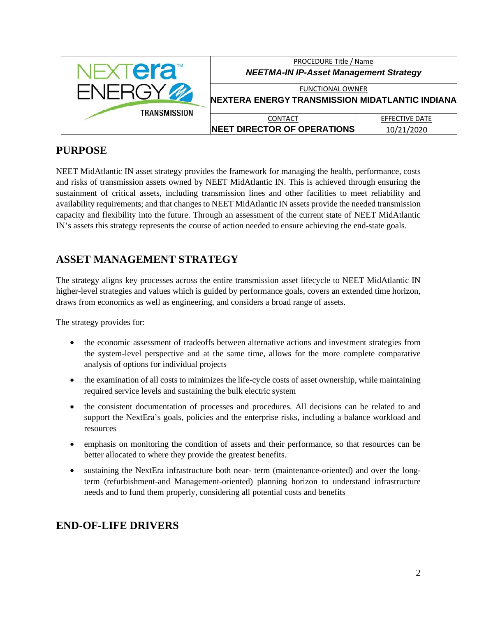

## <span id="page-1-0"></span>**PURPOSE**

NEET MidAtlantic IN asset strategy provides the framework for managing the health, performance, costs and risks of transmission assets owned by NEET MidAtlantic IN. This is achieved through ensuring the sustainment of critical assets, including transmission lines and other facilities to meet reliability and availability requirements; and that changes to NEET MidAtlantic IN assets provide the needed transmission capacity and flexibility into the future. Through an assessment of the current state of NEET MidAtlantic IN's assets this strategy represents the course of action needed to ensure achieving the end-state goals.

# <span id="page-1-1"></span>**ASSET MANAGEMENT STRATEGY**

The strategy aligns key processes across the entire transmission asset lifecycle to NEET MidAtlantic IN higher-level strategies and values which is guided by performance goals, covers an extended time horizon, draws from economics as well as engineering, and considers a broad range of assets.

The strategy provides for:

- the economic assessment of tradeoffs between alternative actions and investment strategies from the system-level perspective and at the same time, allows for the more complete comparative analysis of options for individual projects
- the examination of all costs to minimizes the life-cycle costs of asset ownership, while maintaining required service levels and sustaining the bulk electric system
- the consistent documentation of processes and procedures. All decisions can be related to and support the NextEra's goals, policies and the enterprise risks, including a balance workload and resources
- emphasis on monitoring the condition of assets and their performance, so that resources can be better allocated to where they provide the greatest benefits.
- sustaining the NextEra infrastructure both near- term (maintenance-oriented) and over the longterm (refurbishment-and Management-oriented) planning horizon to understand infrastructure needs and to fund them properly, considering all potential costs and benefits

# <span id="page-1-2"></span>**END-OF-LIFE DRIVERS**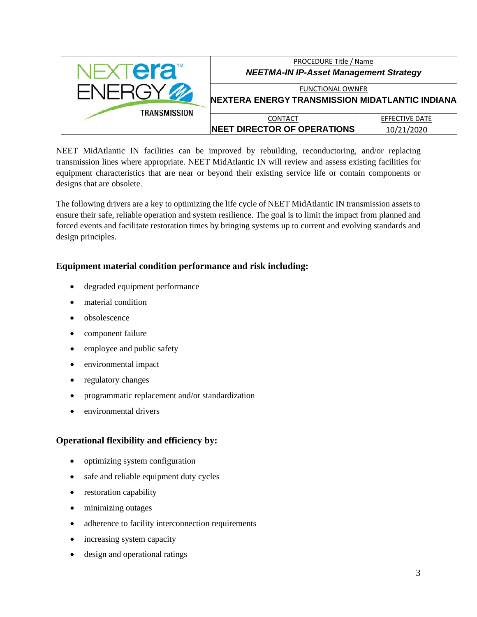

NEET MidAtlantic IN facilities can be improved by rebuilding, reconductoring, and/or replacing transmission lines where appropriate. NEET MidAtlantic IN will review and assess existing facilities for equipment characteristics that are near or beyond their existing service life or contain components or designs that are obsolete.

The following drivers are a key to optimizing the life cycle of NEET MidAtlantic IN transmission assets to ensure their safe, reliable operation and system resilience. The goal is to limit the impact from planned and forced events and facilitate restoration times by bringing systems up to current and evolving standards and design principles.

### **Equipment material condition performance and risk including:**

- degraded equipment performance
- material condition
- obsolescence
- component failure
- employee and public safety
- environmental impact
- regulatory changes
- programmatic replacement and/or standardization
- environmental drivers

#### **Operational flexibility and efficiency by:**

- optimizing system configuration
- safe and reliable equipment duty cycles
- restoration capability
- minimizing outages
- adherence to facility interconnection requirements
- increasing system capacity
- design and operational ratings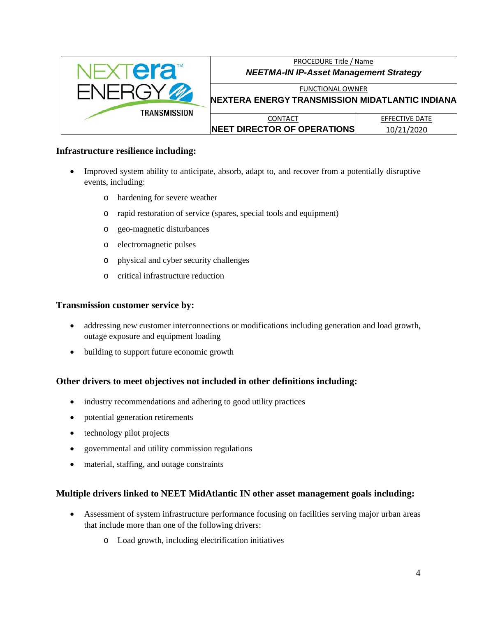

#### **Infrastructure resilience including:**

- Improved system ability to anticipate, absorb, adapt to, and recover from a potentially disruptive events, including:
	- o hardening for severe weather
	- o rapid restoration of service (spares, special tools and equipment)
	- o geo-magnetic disturbances
	- o electromagnetic pulses
	- o physical and cyber security challenges
	- o critical infrastructure reduction

#### **Transmission customer service by:**

- addressing new customer interconnections or modifications including generation and load growth, outage exposure and equipment loading
- building to support future economic growth

#### **Other drivers to meet objectives not included in other definitions including:**

- industry recommendations and adhering to good utility practices
- potential generation retirements
- technology pilot projects
- governmental and utility commission regulations
- material, staffing, and outage constraints

#### **Multiple drivers linked to NEET MidAtlantic IN other asset management goals including:**

- Assessment of system infrastructure performance focusing on facilities serving major urban areas that include more than one of the following drivers:
	- o Load growth, including electrification initiatives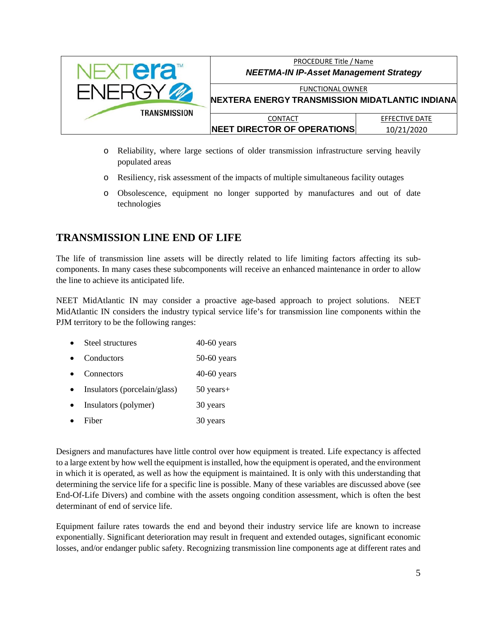

- o Reliability, where large sections of older transmission infrastructure serving heavily populated areas
- o Resiliency, risk assessment of the impacts of multiple simultaneous facility outages
- o Obsolescence, equipment no longer supported by manufactures and out of date technologies

### <span id="page-4-0"></span>**TRANSMISSION LINE END OF LIFE**

The life of transmission line assets will be directly related to life limiting factors affecting its subcomponents. In many cases these subcomponents will receive an enhanced maintenance in order to allow the line to achieve its anticipated life.

NEET MidAtlantic IN may consider a proactive age-based approach to project solutions. NEET MidAtlantic IN considers the industry typical service life's for transmission line components within the PJM territory to be the following ranges:

- Steel structures 40-60 years
- Conductors 50-60 years
- Connectors 40-60 years
- Insulators (porcelain/glass) 50 years+
- Insulators (polymer) 30 years
- Fiber 30 years

Designers and manufactures have little control over how equipment is treated. Life expectancy is affected to a large extent by how well the equipment is installed, how the equipment is operated, and the environment in which it is operated, as well as how the equipment is maintained. It is only with this understanding that determining the service life for a specific line is possible. Many of these variables are discussed above (see End-Of-Life Divers) and combine with the assets ongoing condition assessment, which is often the best determinant of end of service life.

Equipment failure rates towards the end and beyond their industry service life are known to increase exponentially. Significant deterioration may result in frequent and extended outages, significant economic losses, and/or endanger public safety. Recognizing transmission line components age at different rates and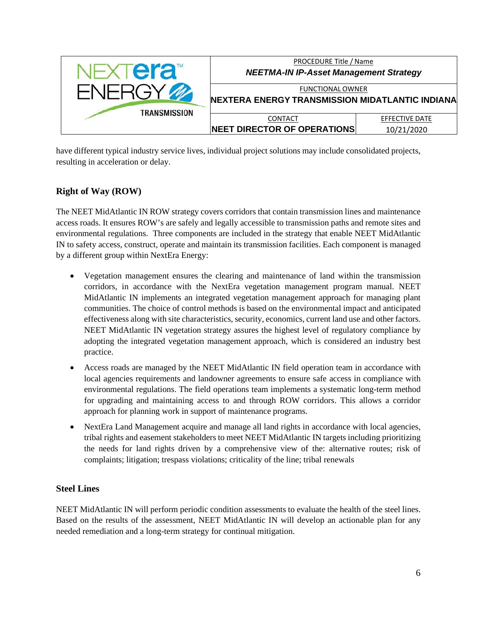

have different typical industry service lives, individual project solutions may include consolidated projects, resulting in acceleration or delay.

### **Right of Way (ROW)**

The NEET MidAtlantic IN ROW strategy covers corridors that contain transmission lines and maintenance access roads. It ensures ROW's are safely and legally accessible to transmission paths and remote sites and environmental regulations. Three components are included in the strategy that enable NEET MidAtlantic IN to safety access, construct, operate and maintain its transmission facilities. Each component is managed by a different group within NextEra Energy:

- Vegetation management ensures the clearing and maintenance of land within the transmission corridors, in accordance with the NextEra vegetation management program manual. NEET MidAtlantic IN implements an integrated vegetation management approach for managing plant communities. The choice of control methods is based on the environmental impact and anticipated effectiveness along with site characteristics, security, economics, current land use and other factors. NEET MidAtlantic IN vegetation strategy assures the highest level of regulatory compliance by adopting the integrated vegetation management approach, which is considered an industry best practice.
- Access roads are managed by the NEET MidAtlantic IN field operation team in accordance with local agencies requirements and landowner agreements to ensure safe access in compliance with environmental regulations. The field operations team implements a systematic long-term method for upgrading and maintaining access to and through ROW corridors. This allows a corridor approach for planning work in support of maintenance programs.
- NextEra Land Management acquire and manage all land rights in accordance with local agencies, tribal rights and easement stakeholders to meet NEET MidAtlantic IN targets including prioritizing the needs for land rights driven by a comprehensive view of the: alternative routes; risk of complaints; litigation; trespass violations; criticality of the line; tribal renewals

### **Steel Lines**

NEET MidAtlantic IN will perform periodic condition assessments to evaluate the health of the steel lines. Based on the results of the assessment, NEET MidAtlantic IN will develop an actionable plan for any needed remediation and a long-term strategy for continual mitigation.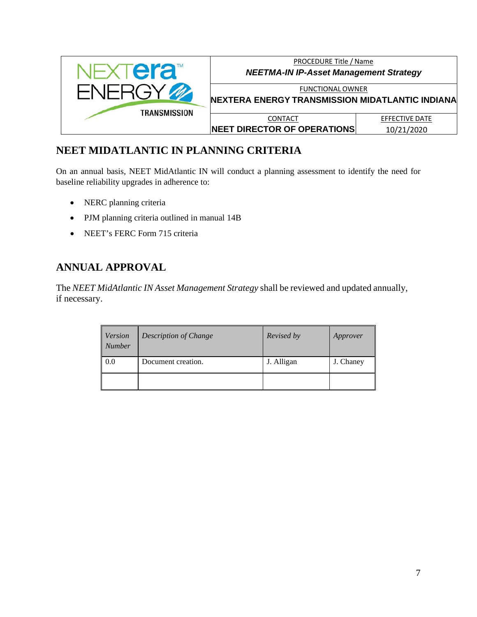

# <span id="page-6-0"></span>**NEET MIDATLANTIC IN PLANNING CRITERIA**

On an annual basis, NEET MidAtlantic IN will conduct a planning assessment to identify the need for baseline reliability upgrades in adherence to:

- NERC planning criteria
- PJM planning criteria outlined in manual 14B
- NEET's FERC Form 715 criteria

# <span id="page-6-1"></span>**ANNUAL APPROVAL**

The *NEET MidAtlantic IN Asset Management Strategy* shall be reviewed and updated annually, if necessary.

| <i>Version</i><br><b>Number</b> | <b>Description of Change</b> | Revised by | Approver  |
|---------------------------------|------------------------------|------------|-----------|
| 0.0                             | Document creation.           | J. Alligan | J. Chaney |
|                                 |                              |            |           |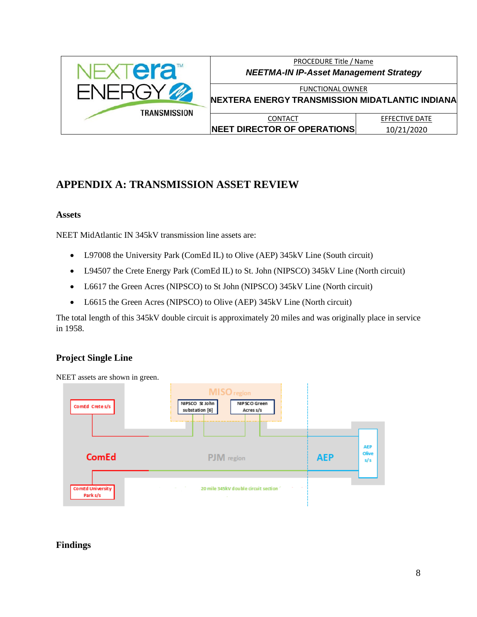

PROCEDURE Title / Name *NEETMA-IN IP-Asset Management Strategy*

FUNCTIONAL OWNER **NEXTERA ENERGY TRANSMISSION MIDATLANTIC INDIANA**

**CONTACT NEET DIRECTOR OF OPERATIONS**

EFFECTIVE DATE 10/21/2020

# <span id="page-7-0"></span>**APPENDIX A: TRANSMISSION ASSET REVIEW**

#### **Assets**

NEET MidAtlantic IN 345kV transmission line assets are:

- L97008 the University Park (ComEd IL) to Olive (AEP) 345kV Line (South circuit)
- L94507 the Crete Energy Park (ComEd IL) to St. John (NIPSCO) 345kV Line (North circuit)
- L6617 the Green Acres (NIPSCO) to St John (NIPSCO) 345kV Line (North circuit)
- L6615 the Green Acres (NIPSCO) to Olive (AEP) 345kV Line (North circuit)

The total length of this 345kV double circuit is approximately 20 miles and was originally place in service in 1958.

### **Project Single Line**



### **Findings**